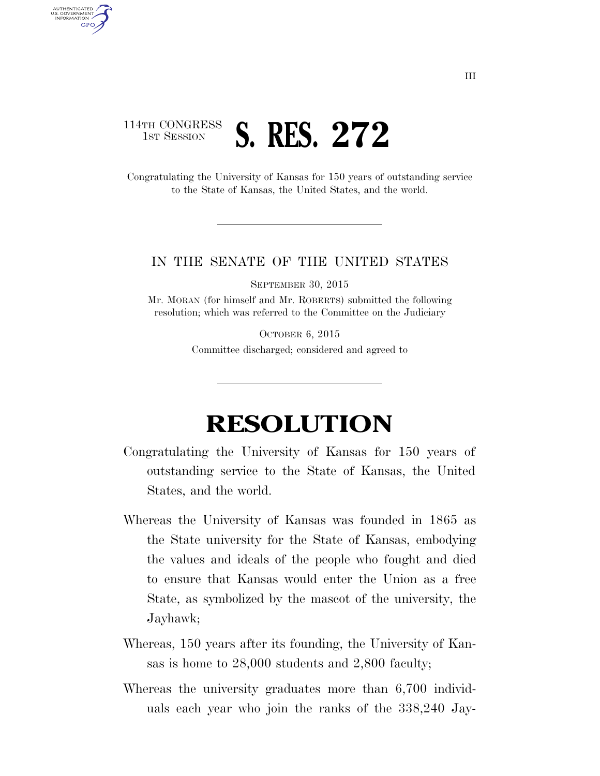## 114TH CONGRESS **1ST SESSION S. RES. 272**

AUTHENTICATED U.S. GOVERNMENT **GPO** 

> Congratulating the University of Kansas for 150 years of outstanding service to the State of Kansas, the United States, and the world.

## IN THE SENATE OF THE UNITED STATES

SEPTEMBER 30, 2015

Mr. MORAN (for himself and Mr. ROBERTS) submitted the following resolution; which was referred to the Committee on the Judiciary

> OCTOBER 6, 2015 Committee discharged; considered and agreed to

## **RESOLUTION**

- Congratulating the University of Kansas for 150 years of outstanding service to the State of Kansas, the United States, and the world.
- Whereas the University of Kansas was founded in 1865 as the State university for the State of Kansas, embodying the values and ideals of the people who fought and died to ensure that Kansas would enter the Union as a free State, as symbolized by the mascot of the university, the Jayhawk;
- Whereas, 150 years after its founding, the University of Kansas is home to 28,000 students and 2,800 faculty;
- Whereas the university graduates more than 6,700 individuals each year who join the ranks of the 338,240 Jay-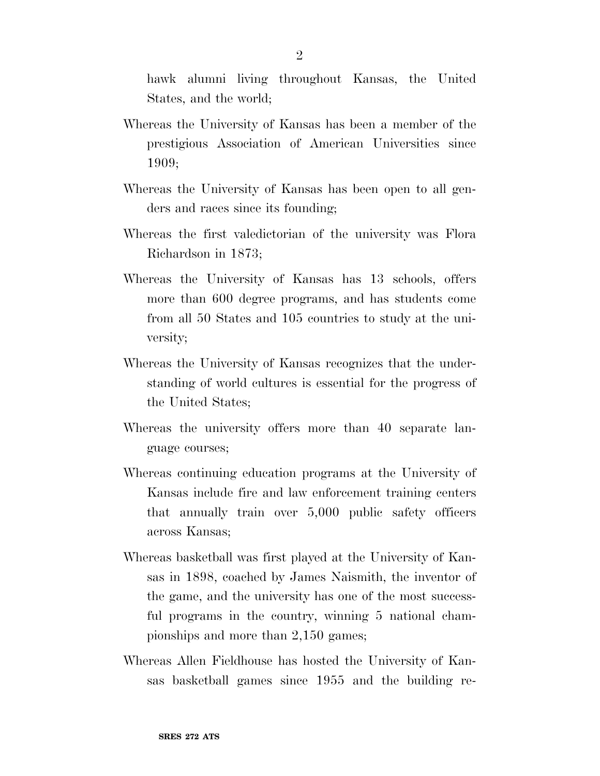hawk alumni living throughout Kansas, the United States, and the world;

- Whereas the University of Kansas has been a member of the prestigious Association of American Universities since 1909;
- Whereas the University of Kansas has been open to all genders and races since its founding;
- Whereas the first valedictorian of the university was Flora Richardson in 1873;
- Whereas the University of Kansas has 13 schools, offers more than 600 degree programs, and has students come from all 50 States and 105 countries to study at the university;
- Whereas the University of Kansas recognizes that the understanding of world cultures is essential for the progress of the United States;
- Whereas the university offers more than 40 separate language courses;
- Whereas continuing education programs at the University of Kansas include fire and law enforcement training centers that annually train over 5,000 public safety officers across Kansas;
- Whereas basketball was first played at the University of Kansas in 1898, coached by James Naismith, the inventor of the game, and the university has one of the most successful programs in the country, winning 5 national championships and more than 2,150 games;
- Whereas Allen Fieldhouse has hosted the University of Kansas basketball games since 1955 and the building re-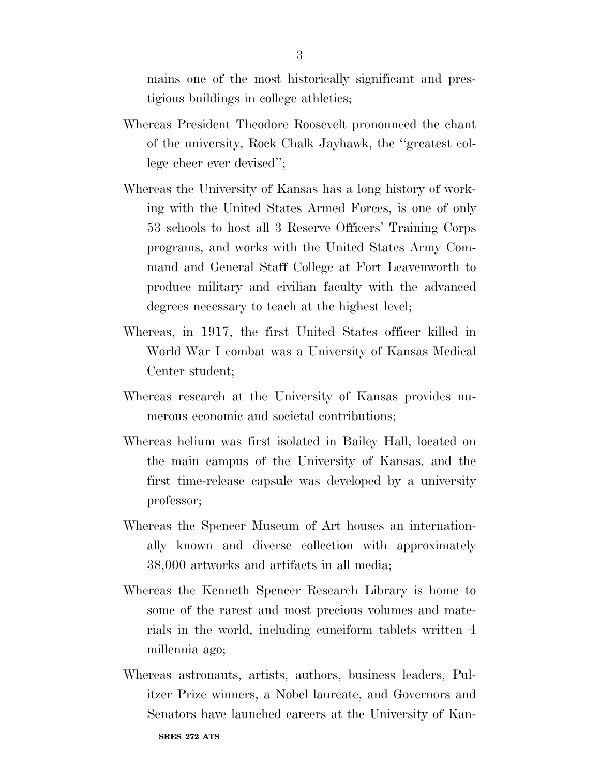mains one of the most historically significant and prestigious buildings in college athletics;

- Whereas President Theodore Roosevelt pronounced the chant of the university, Rock Chalk Jayhawk, the ''greatest college cheer ever devised'';
- Whereas the University of Kansas has a long history of working with the United States Armed Forces, is one of only 53 schools to host all 3 Reserve Officers' Training Corps programs, and works with the United States Army Command and General Staff College at Fort Leavenworth to produce military and civilian faculty with the advanced degrees necessary to teach at the highest level;
- Whereas, in 1917, the first United States officer killed in World War I combat was a University of Kansas Medical Center student;
- Whereas research at the University of Kansas provides numerous economic and societal contributions;
- Whereas helium was first isolated in Bailey Hall, located on the main campus of the University of Kansas, and the first time-release capsule was developed by a university professor;
- Whereas the Spencer Museum of Art houses an internationally known and diverse collection with approximately 38,000 artworks and artifacts in all media;
- Whereas the Kenneth Spencer Research Library is home to some of the rarest and most precious volumes and materials in the world, including cuneiform tablets written 4 millennia ago;
- Whereas astronauts, artists, authors, business leaders, Pulitzer Prize winners, a Nobel laureate, and Governors and Senators have launched careers at the University of Kan-